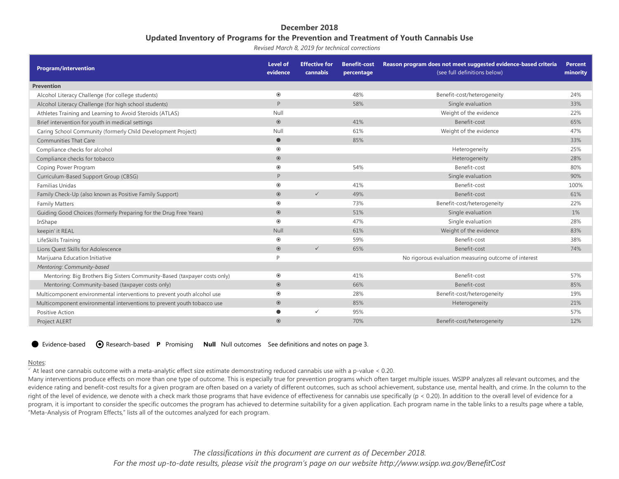## **December 2018 Updated Inventory of Programs for the Prevention and Treatment of Youth Cannabis Use**

*Revised March 8, 2019 for technical corrections* 

| <b>Program/intervention</b>                                               | <b>Level of</b><br>evidence | <b>Effective for</b><br>cannabis | <b>Benefit-cost</b><br>percentage | Reason program does not meet suggested evidence-based criteria<br>(see full definitions below) | <b>Percent</b><br>minority |
|---------------------------------------------------------------------------|-----------------------------|----------------------------------|-----------------------------------|------------------------------------------------------------------------------------------------|----------------------------|
| <b>Prevention</b>                                                         |                             |                                  |                                   |                                                                                                |                            |
| Alcohol Literacy Challenge (for college students)                         | $\circledcirc$              |                                  | 48%                               | Benefit-cost/heterogeneity                                                                     | 24%                        |
| Alcohol Literacy Challenge (for high school students)                     | P                           |                                  | 58%                               | Single evaluation                                                                              | 33%                        |
| Athletes Training and Learning to Avoid Steroids (ATLAS)                  | Null                        |                                  |                                   | Weight of the evidence                                                                         | 22%                        |
| Brief intervention for youth in medical settings                          | $\circledcirc$              |                                  | 41%                               | Benefit-cost                                                                                   | 65%                        |
| Caring School Community (formerly Child Development Project)              | Null                        |                                  | 61%                               | Weight of the evidence                                                                         | 47%                        |
| <b>Communities That Care</b>                                              | $\bullet$                   |                                  | 85%                               |                                                                                                | 33%                        |
| Compliance checks for alcohol                                             | $\circledcirc$              |                                  |                                   | Heterogeneity                                                                                  | 25%                        |
| Compliance checks for tobacco                                             | $\circledcirc$              |                                  |                                   | Heterogeneity                                                                                  | 28%                        |
| Coping Power Program                                                      | $\circledcirc$              |                                  | 54%                               | Benefit-cost                                                                                   | 80%                        |
| Curriculum-Based Support Group (CBSG)                                     | P                           |                                  |                                   | Single evaluation                                                                              | 90%                        |
| Familias Unidas                                                           | $\circledcirc$              |                                  | 41%                               | Benefit-cost                                                                                   | 100%                       |
| Family Check-Up (also known as Positive Family Support)                   | $\circledcirc$              | $\checkmark$                     | 49%                               | Benefit-cost                                                                                   | 61%                        |
| <b>Family Matters</b>                                                     | $\odot$                     |                                  | 73%                               | Benefit-cost/heterogeneity                                                                     | 22%                        |
| Guiding Good Choices (formerly Preparing for the Drug Free Years)         | $\circledcirc$              |                                  | 51%                               | Single evaluation                                                                              | 1%                         |
| InShape                                                                   | $\circledcirc$              |                                  | 47%                               | Single evaluation                                                                              | 28%                        |
| keepin' it REAL                                                           | Null                        |                                  | 61%                               | Weight of the evidence                                                                         | 83%                        |
| LifeSkills Training                                                       | $\circledcirc$              |                                  | 59%                               | Benefit-cost                                                                                   | 38%                        |
| Lions Quest Skills for Adolescence                                        | $\circledcirc$              | $\checkmark$                     | 65%                               | Benefit-cost                                                                                   | 74%                        |
| Marijuana Education Initiative                                            | D                           |                                  |                                   | No rigorous evaluation measuring outcome of interest                                           |                            |
| Mentoring: Community-based                                                |                             |                                  |                                   |                                                                                                |                            |
| Mentoring: Big Brothers Big Sisters Community-Based (taxpayer costs only) | $\circledcirc$              |                                  | 41%                               | Benefit-cost                                                                                   | 57%                        |
| Mentoring: Community-based (taxpayer costs only)                          | $\circledcirc$              |                                  | 66%                               | Benefit-cost                                                                                   | 85%                        |
| Multicomponent environmental interventions to prevent youth alcohol use   | $\circledcirc$              |                                  | 28%                               | Benefit-cost/heterogeneity                                                                     | 19%                        |
| Multicomponent environmental interventions to prevent youth tobacco use   | $\circledcirc$              |                                  | 85%                               | Heterogeneity                                                                                  | 21%                        |
| Positive Action                                                           |                             | $\checkmark$                     | 95%                               |                                                                                                | 57%                        |
| Project ALERT                                                             | $\odot$                     |                                  | 70%                               | Benefit-cost/heterogeneity                                                                     | 12%                        |

● Evidence-based ● Research-based **P** Promising **Null** Null outcomes See definitions and notes on page 3.

### Notes:

 $\leq$  At least one cannabis outcome with a meta-analytic effect size estimate demonstrating reduced cannabis use with a p-value  $\lt 0.20$ .

Many interventions produce effects on more than one type of outcome. This is especially true for prevention programs which often target multiple issues. WSIPP analyzes all relevant outcomes, and the evidence rating and benefit-cost results for a given program are often based on a variety of different outcomes, such as school achievement, substance use, mental health, and crime. In the column to the right of the level of evidence, we denote with a check mark those programs that have evidence of effectiveness for cannabis use specifically (p < 0.20). In addition to the overall level of evidence for a program, it is important to consider the specific outcomes the program has achieved to determine suitability for a given application. Each program name in the table links to a results page where a table, "Meta-Analysis of Program Effects," lists all of the outcomes analyzed for each program.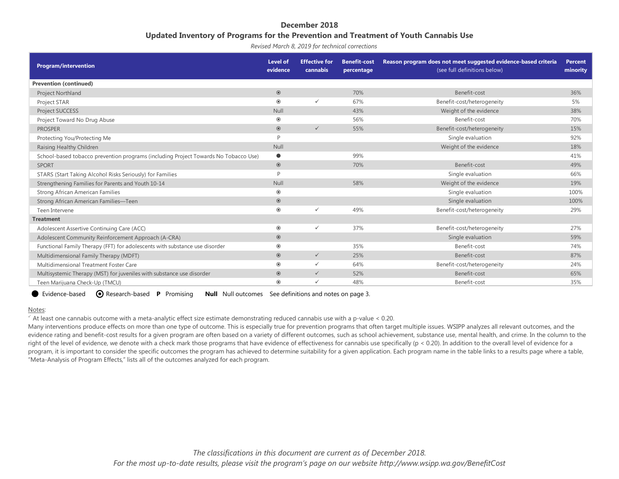# **December 2018 Updated Inventory of Programs for the Prevention and Treatment of Youth Cannabis Use**

*Revised March 8, 2019 for technical corrections* 

| <b>Program/intervention</b>                                                         | Level of<br>evidence | <b>Effective for</b><br>cannabis | <b>Benefit-cost</b><br>percentage | Reason program does not meet suggested evidence-based criteria<br>(see full definitions below) | <b>Percent</b><br>minority |
|-------------------------------------------------------------------------------------|----------------------|----------------------------------|-----------------------------------|------------------------------------------------------------------------------------------------|----------------------------|
| <b>Prevention (continued)</b>                                                       |                      |                                  |                                   |                                                                                                |                            |
| Project Northland                                                                   | $\circledcirc$       |                                  | 70%                               | Benefit-cost                                                                                   | 36%                        |
| Project STAR                                                                        | $\odot$              | ✓                                | 67%                               | Benefit-cost/heterogeneity                                                                     | 5%                         |
| Project SUCCESS                                                                     | Null                 |                                  | 43%                               | Weight of the evidence                                                                         | 38%                        |
| Project Toward No Drug Abuse                                                        | $\circledcirc$       |                                  | 56%                               | Benefit-cost                                                                                   | 70%                        |
| <b>PROSPER</b>                                                                      | $\circledcirc$       | $\checkmark$                     | 55%                               | Benefit-cost/heterogeneity                                                                     | 15%                        |
| Protecting You/Protecting Me                                                        | D                    |                                  |                                   | Single evaluation                                                                              | 92%                        |
| Raising Healthy Children                                                            | Null                 |                                  |                                   | Weight of the evidence                                                                         | 18%                        |
| School-based tobacco prevention programs (including Project Towards No Tobacco Use) | $\bullet$            |                                  | 99%                               |                                                                                                | 41%                        |
| <b>SPORT</b>                                                                        | $\circledcirc$       |                                  | 70%                               | Benefit-cost                                                                                   | 49%                        |
| STARS (Start Taking Alcohol Risks Seriously) for Families                           | P                    |                                  |                                   | Single evaluation                                                                              | 66%                        |
| Strengthening Families for Parents and Youth 10-14                                  | Null                 |                                  | 58%                               | Weight of the evidence                                                                         | 19%                        |
| <b>Strong African American Families</b>                                             | $_{\circledcirc}$    |                                  |                                   | Single evaluation                                                                              | 100%                       |
| Strong African American Families-Teen                                               | $\circledcirc$       |                                  |                                   | Single evaluation                                                                              | 100%                       |
| Teen Intervene                                                                      | $\circledcirc$       | $\checkmark$                     | 49%                               | Benefit-cost/heterogeneity                                                                     | 29%                        |
| <b>Treatment</b>                                                                    |                      |                                  |                                   |                                                                                                |                            |
| Adolescent Assertive Continuing Care (ACC)                                          | $\circledcirc$       | $\checkmark$                     | 37%                               | Benefit-cost/heterogeneity                                                                     | 27%                        |
| Adolescent Community Reinforcement Approach (A-CRA)                                 | $\circledcirc$       |                                  |                                   | Single evaluation                                                                              | 59%                        |
| Functional Family Therapy (FFT) for adolescents with substance use disorder         | $\circledcirc$       |                                  | 35%                               | Benefit-cost                                                                                   | 74%                        |
| Multidimensional Family Therapy (MDFT)                                              | $\circledcirc$       | $\checkmark$                     | 25%                               | Benefit-cost                                                                                   | 87%                        |
| Multidimensional Treatment Foster Care                                              | $\odot$              | $\checkmark$                     | 64%                               | Benefit-cost/heterogeneity                                                                     | 24%                        |
| Multisystemic Therapy (MST) for juveniles with substance use disorder               | $\circledcirc$       | $\checkmark$                     | 52%                               | Benefit-cost                                                                                   | 65%                        |
| Teen Marijuana Check-Up (TMCU)                                                      | $\odot$              | ✓                                | 48%                               | Benefit-cost                                                                                   | 35%                        |

Evidence-based Research-based **P** Promising **Null** Null outcomes See definitions and notes on page 3.

### Notes:

 $\leq$  At least one cannabis outcome with a meta-analytic effect size estimate demonstrating reduced cannabis use with a p-value  $\lt 0.20$ .

Many interventions produce effects on more than one type of outcome. This is especially true for prevention programs that often target multiple issues. WSIPP analyzes all relevant outcomes, and the evidence rating and benefit-cost results for a given program are often based on a variety of different outcomes, such as school achievement, substance use, mental health, and crime. In the column to the right of the level of evidence, we denote with a check mark those programs that have evidence of effectiveness for cannabis use specifically (p < 0.20). In addition to the overall level of evidence for a program, it is important to consider the specific outcomes the program has achieved to determine suitability for a given application. Each program name in the table links to a results page where a table, "Meta-Analysis of Program Effects," lists all of the outcomes analyzed for each program.